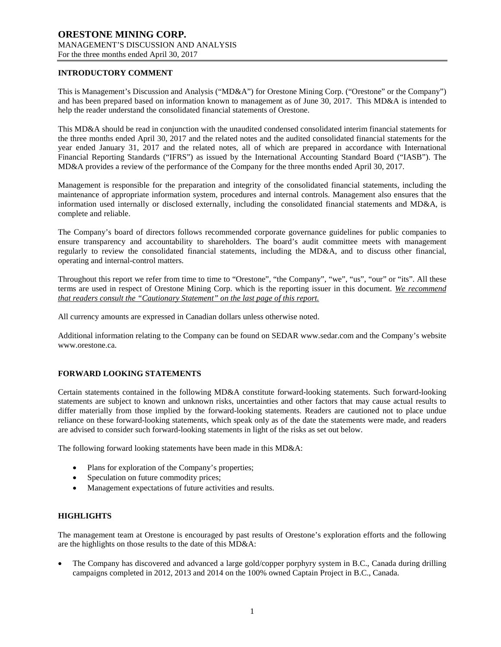### **INTRODUCTORY COMMENT**

This is Management's Discussion and Analysis ("MD&A") for Orestone Mining Corp. ("Orestone" or the Company") and has been prepared based on information known to management as of June 30, 2017. This MD&A is intended to help the reader understand the consolidated financial statements of Orestone.

This MD&A should be read in conjunction with the unaudited condensed consolidated interim financial statements for the three months ended April 30, 2017 and the related notes and the audited consolidated financial statements for the year ended January 31, 2017 and the related notes, all of which are prepared in accordance with International Financial Reporting Standards ("IFRS") as issued by the International Accounting Standard Board ("IASB"). The MD&A provides a review of the performance of the Company for the three months ended April 30, 2017.

Management is responsible for the preparation and integrity of the consolidated financial statements, including the maintenance of appropriate information system, procedures and internal controls. Management also ensures that the information used internally or disclosed externally, including the consolidated financial statements and MD&A, is complete and reliable.

The Company's board of directors follows recommended corporate governance guidelines for public companies to ensure transparency and accountability to shareholders. The board's audit committee meets with management regularly to review the consolidated financial statements, including the MD&A, and to discuss other financial, operating and internal-control matters.

Throughout this report we refer from time to time to "Orestone", "the Company", "we", "us", "our" or "its". All these terms are used in respect of Orestone Mining Corp. which is the reporting issuer in this document. *We recommend that readers consult the "Cautionary Statement" on the last page of this report.*

All currency amounts are expressed in Canadian dollars unless otherwise noted.

Additional information relating to the Company can be found on SEDAR www.sedar.com and the Company's website www.orestone.ca.

# **FORWARD LOOKING STATEMENTS**

Certain statements contained in the following MD&A constitute forward-looking statements. Such forward-looking statements are subject to known and unknown risks, uncertainties and other factors that may cause actual results to differ materially from those implied by the forward-looking statements. Readers are cautioned not to place undue reliance on these forward-looking statements, which speak only as of the date the statements were made, and readers are advised to consider such forward-looking statements in light of the risks as set out below.

The following forward looking statements have been made in this MD&A:

- Plans for exploration of the Company's properties;
- Speculation on future commodity prices;
- Management expectations of future activities and results.

# **HIGHLIGHTS**

The management team at Orestone is encouraged by past results of Orestone's exploration efforts and the following are the highlights on those results to the date of this MD&A:

• The Company has discovered and advanced a large gold/copper porphyry system in B.C., Canada during drilling campaigns completed in 2012, 2013 and 2014 on the 100% owned Captain Project in B.C., Canada.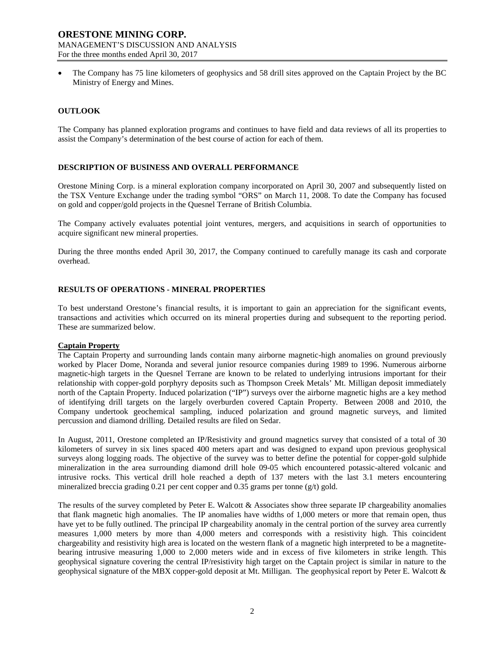• The Company has 75 line kilometers of geophysics and 58 drill sites approved on the Captain Project by the BC Ministry of Energy and Mines.

### **OUTLOOK**

The Company has planned exploration programs and continues to have field and data reviews of all its properties to assist the Company's determination of the best course of action for each of them.

### **DESCRIPTION OF BUSINESS AND OVERALL PERFORMANCE**

Orestone Mining Corp. is a mineral exploration company incorporated on April 30, 2007 and subsequently listed on the TSX Venture Exchange under the trading symbol "ORS" on March 11, 2008. To date the Company has focused on gold and copper/gold projects in the Quesnel Terrane of British Columbia.

The Company actively evaluates potential joint ventures, mergers, and acquisitions in search of opportunities to acquire significant new mineral properties.

During the three months ended April 30, 2017, the Company continued to carefully manage its cash and corporate overhead.

### **RESULTS OF OPERATIONS - MINERAL PROPERTIES**

To best understand Orestone's financial results, it is important to gain an appreciation for the significant events, transactions and activities which occurred on its mineral properties during and subsequent to the reporting period. These are summarized below.

#### **Captain Property**

The Captain Property and surrounding lands contain many airborne magnetic-high anomalies on ground previously worked by Placer Dome, Noranda and several junior resource companies during 1989 to 1996. Numerous airborne magnetic-high targets in the Quesnel Terrane are known to be related to underlying intrusions important for their relationship with copper-gold porphyry deposits such as Thompson Creek Metals' Mt. Milligan deposit immediately north of the Captain Property. Induced polarization ("IP") surveys over the airborne magnetic highs are a key method of identifying drill targets on the largely overburden covered Captain Property. Between 2008 and 2010, the Company undertook geochemical sampling, induced polarization and ground magnetic surveys, and limited percussion and diamond drilling. Detailed results are filed on Sedar.

In August, 2011, Orestone completed an IP/Resistivity and ground magnetics survey that consisted of a total of 30 kilometers of survey in six lines spaced 400 meters apart and was designed to expand upon previous geophysical surveys along logging roads. The objective of the survey was to better define the potential for copper-gold sulphide mineralization in the area surrounding diamond drill hole 09-05 which encountered potassic-altered volcanic and intrusive rocks. This vertical drill hole reached a depth of 137 meters with the last 3.1 meters encountering mineralized breccia grading 0.21 per cent copper and 0.35 grams per tonne (g/t) gold.

The results of the survey completed by Peter E. Walcott & Associates show three separate IP chargeability anomalies that flank magnetic high anomalies. The IP anomalies have widths of 1,000 meters or more that remain open, thus have yet to be fully outlined. The principal IP chargeability anomaly in the central portion of the survey area currently measures 1,000 meters by more than 4,000 meters and corresponds with a resistivity high. This coincident chargeability and resistivity high area is located on the western flank of a magnetic high interpreted to be a magnetitebearing intrusive measuring 1,000 to 2,000 meters wide and in excess of five kilometers in strike length. This geophysical signature covering the central IP/resistivity high target on the Captain project is similar in nature to the geophysical signature of the MBX copper-gold deposit at Mt. Milligan. The geophysical report by Peter E. Walcott &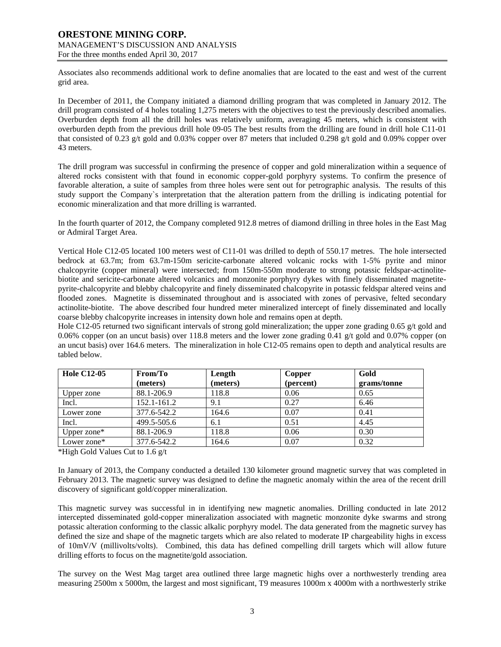Associates also recommends additional work to define anomalies that are located to the east and west of the current grid area.

In December of 2011, the Company initiated a diamond drilling program that was completed in January 2012. The drill program consisted of 4 holes totaling 1,275 meters with the objectives to test the previously described anomalies. Overburden depth from all the drill holes was relatively uniform, averaging 45 meters, which is consistent with overburden depth from the previous drill hole 09-05 The best results from the drilling are found in drill hole C11-01 that consisted of 0.23 g/t gold and 0.03% copper over 87 meters that included 0.298 g/t gold and 0.09% copper over 43 meters.

The drill program was successful in confirming the presence of copper and gold mineralization within a sequence of altered rocks consistent with that found in economic copper-gold porphyry systems. To confirm the presence of favorable alteration, a suite of samples from three holes were sent out for petrographic analysis. The results of this study support the Company`s interpretation that the alteration pattern from the drilling is indicating potential for economic mineralization and that more drilling is warranted.

In the fourth quarter of 2012, the Company completed 912.8 metres of diamond drilling in three holes in the East Mag or Admiral Target Area.

Vertical Hole C12-05 located 100 meters west of C11-01 was drilled to depth of 550.17 metres. The hole intersected bedrock at 63.7m; from 63.7m-150m sericite-carbonate altered volcanic rocks with 1-5% pyrite and minor chalcopyrite (copper mineral) were intersected; from 150m-550m moderate to strong potassic feldspar-actinolitebiotite and sericite-carbonate altered volcanics and monzonite porphyry dykes with finely disseminated magnetitepyrite-chalcopyrite and blebby chalcopyrite and finely disseminated chalcopyrite in potassic feldspar altered veins and flooded zones. Magnetite is disseminated throughout and is associated with zones of pervasive, felted secondary actinolite-biotite. The above described four hundred meter mineralized intercept of finely disseminated and locally coarse blebby chalcopyrite increases in intensity down hole and remains open at depth.

Hole C12-05 returned two significant intervals of strong gold mineralization; the upper zone grading 0.65 g/t gold and 0.06% copper (on an uncut basis) over 118.8 meters and the lower zone grading 0.41 g/t gold and 0.07% copper (on an uncut basis) over 164.6 meters. The mineralization in hole C12-05 remains open to depth and analytical results are tabled below.

| <b>Hole C12-05</b> | From/To     | Length   | Copper    | Gold        |
|--------------------|-------------|----------|-----------|-------------|
|                    | (meters)    | (meters) | (percent) | grams/tonne |
| Upper zone         | 88.1-206.9  | 118.8    | 0.06      | 0.65        |
| Incl.              | 152.1-161.2 | 9.1      | 0.27      | 6.46        |
| Lower zone         | 377.6-542.2 | 164.6    | 0.07      | 0.41        |
| Incl.              | 499.5-505.6 | 6.1      | 0.51      | 4.45        |
| Upper zone $*$     | 88.1-206.9  | 118.8    | 0.06      | 0.30        |
| Lower zone*        | 377.6-542.2 | 164.6    | 0.07      | 0.32        |

\*High Gold Values Cut to 1.6 g/t

In January of 2013, the Company conducted a detailed 130 kilometer ground magnetic survey that was completed in February 2013. The magnetic survey was designed to define the magnetic anomaly within the area of the recent drill discovery of significant gold/copper mineralization.

This magnetic survey was successful in in identifying new magnetic anomalies. Drilling conducted in late 2012 intercepted disseminated gold-copper mineralization associated with magnetic monzonite dyke swarms and strong potassic alteration conforming to the classic alkalic porphyry model. The data generated from the magnetic survey has defined the size and shape of the magnetic targets which are also related to moderate IP chargeability highs in excess of 10mV/V (millivolts/volts). Combined, this data has defined compelling drill targets which will allow future drilling efforts to focus on the magnetite/gold association.

The survey on the West Mag target area outlined three large magnetic highs over a northwesterly trending area measuring 2500m x 5000m, the largest and most significant, T9 measures 1000m x 4000m with a northwesterly strike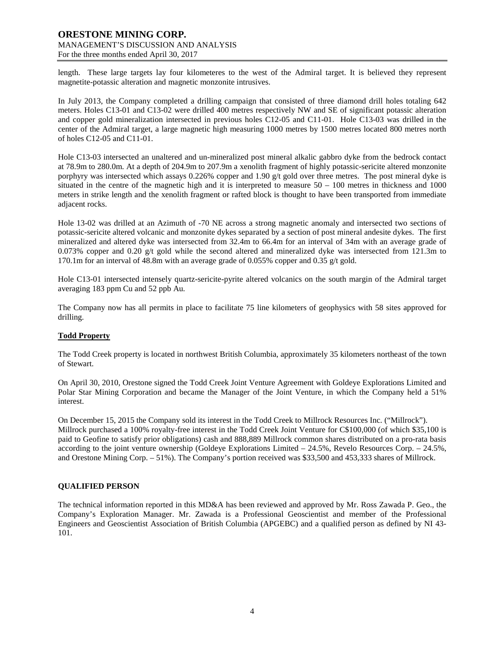length. These large targets lay four kilometeres to the west of the Admiral target. It is believed they represent magnetite-potassic alteration and magnetic monzonite intrusives.

In July 2013, the Company completed a drilling campaign that consisted of three diamond drill holes totaling 642 meters. Holes C13-01 and C13-02 were drilled 400 metres respectively NW and SE of significant potassic alteration and copper gold mineralization intersected in previous holes C12-05 and C11-01. Hole C13-03 was drilled in the center of the Admiral target, a large magnetic high measuring 1000 metres by 1500 metres located 800 metres north of holes C12-05 and C11-01.

Hole C13-03 intersected an unaltered and un-mineralized post mineral alkalic gabbro dyke from the bedrock contact at 78.9m to 280.0m. At a depth of 204.9m to 207.9m a xenolith fragment of highly potassic-sericite altered monzonite porphyry was intersected which assays 0.226% copper and 1.90 g/t gold over three metres. The post mineral dyke is situated in the centre of the magnetic high and it is interpreted to measure  $50 - 100$  metres in thickness and 1000 meters in strike length and the xenolith fragment or rafted block is thought to have been transported from immediate adjacent rocks.

Hole 13-02 was drilled at an Azimuth of -70 NE across a strong magnetic anomaly and intersected two sections of potassic-sericite altered volcanic and monzonite dykes separated by a section of post mineral andesite dykes. The first mineralized and altered dyke was intersected from 32.4m to 66.4m for an interval of 34m with an average grade of 0.073% copper and 0.20 g/t gold while the second altered and mineralized dyke was intersected from 121.3m to 170.1m for an interval of 48.8m with an average grade of 0.055% copper and 0.35 g/t gold.

Hole C13-01 intersected intensely quartz-sericite-pyrite altered volcanics on the south margin of the Admiral target averaging 183 ppm Cu and 52 ppb Au.

The Company now has all permits in place to facilitate 75 line kilometers of geophysics with 58 sites approved for drilling.

# **Todd Property**

The Todd Creek property is located in northwest British Columbia, approximately 35 kilometers northeast of the town of Stewart.

On April 30, 2010, Orestone signed the Todd Creek Joint Venture Agreement with Goldeye Explorations Limited and Polar Star Mining Corporation and became the Manager of the Joint Venture, in which the Company held a 51% interest.

On December 15, 2015 the Company sold its interest in the Todd Creek to Millrock Resources Inc. ("Millrock"). Millrock purchased a 100% royalty-free interest in the Todd Creek Joint Venture for C\$100,000 (of which \$35,100 is paid to Geofine to satisfy prior obligations) cash and 888,889 Millrock common shares distributed on a pro-rata basis according to the joint venture ownership (Goldeye Explorations Limited – 24.5%, Revelo Resources Corp. – 24.5%, and Orestone Mining Corp. – 51%). The Company's portion received was \$33,500 and 453,333 shares of Millrock.

# **QUALIFIED PERSON**

The technical information reported in this MD&A has been reviewed and approved by Mr. Ross Zawada P. Geo., the Company's Exploration Manager. Mr. Zawada is a Professional Geoscientist and member of the Professional Engineers and Geoscientist Association of British Columbia (APGEBC) and a qualified person as defined by NI 43- 101.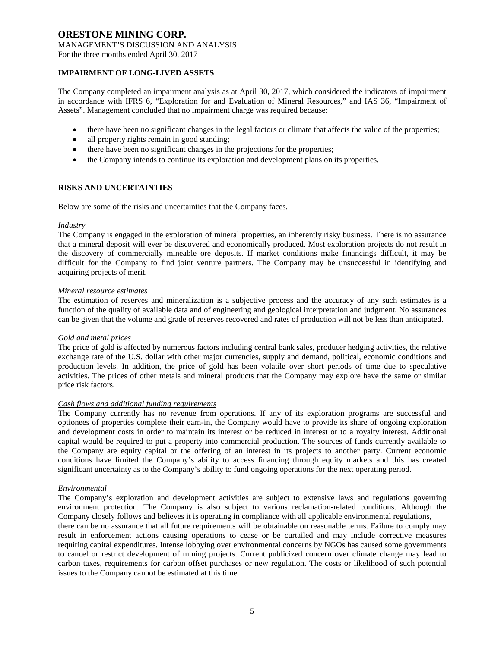# **IMPAIRMENT OF LONG-LIVED ASSETS**

The Company completed an impairment analysis as at April 30, 2017, which considered the indicators of impairment in accordance with IFRS 6, "Exploration for and Evaluation of Mineral Resources," and IAS 36, "Impairment of Assets". Management concluded that no impairment charge was required because:

- there have been no significant changes in the legal factors or climate that affects the value of the properties;
- all property rights remain in good standing;
- there have been no significant changes in the projections for the properties;
- the Company intends to continue its exploration and development plans on its properties.

### **RISKS AND UNCERTAINTIES**

Below are some of the risks and uncertainties that the Company faces.

#### *Industry*

The Company is engaged in the exploration of mineral properties, an inherently risky business. There is no assurance that a mineral deposit will ever be discovered and economically produced. Most exploration projects do not result in the discovery of commercially mineable ore deposits. If market conditions make financings difficult, it may be difficult for the Company to find joint venture partners. The Company may be unsuccessful in identifying and acquiring projects of merit.

#### *Mineral resource estimates*

The estimation of reserves and mineralization is a subjective process and the accuracy of any such estimates is a function of the quality of available data and of engineering and geological interpretation and judgment. No assurances can be given that the volume and grade of reserves recovered and rates of production will not be less than anticipated.

#### *Gold and metal prices*

The price of gold is affected by numerous factors including central bank sales, producer hedging activities, the relative exchange rate of the U.S. dollar with other major currencies, supply and demand, political, economic conditions and production levels. In addition, the price of gold has been volatile over short periods of time due to speculative activities. The prices of other metals and mineral products that the Company may explore have the same or similar price risk factors.

### *Cash flows and additional funding requirements*

The Company currently has no revenue from operations. If any of its exploration programs are successful and optionees of properties complete their earn-in, the Company would have to provide its share of ongoing exploration and development costs in order to maintain its interest or be reduced in interest or to a royalty interest. Additional capital would be required to put a property into commercial production. The sources of funds currently available to the Company are equity capital or the offering of an interest in its projects to another party. Current economic conditions have limited the Company's ability to access financing through equity markets and this has created significant uncertainty as to the Company's ability to fund ongoing operations for the next operating period.

### *Environmental*

The Company's exploration and development activities are subject to extensive laws and regulations governing environment protection. The Company is also subject to various reclamation-related conditions. Although the Company closely follows and believes it is operating in compliance with all applicable environmental regulations,

there can be no assurance that all future requirements will be obtainable on reasonable terms. Failure to comply may result in enforcement actions causing operations to cease or be curtailed and may include corrective measures requiring capital expenditures. Intense lobbying over environmental concerns by NGOs has caused some governments to cancel or restrict development of mining projects. Current publicized concern over climate change may lead to carbon taxes, requirements for carbon offset purchases or new regulation. The costs or likelihood of such potential issues to the Company cannot be estimated at this time.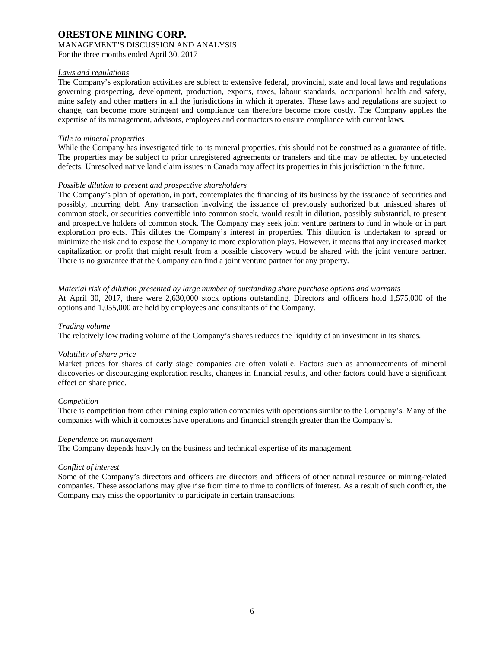### *Laws and regulations*

The Company's exploration activities are subject to extensive federal, provincial, state and local laws and regulations governing prospecting, development, production, exports, taxes, labour standards, occupational health and safety, mine safety and other matters in all the jurisdictions in which it operates. These laws and regulations are subject to change, can become more stringent and compliance can therefore become more costly. The Company applies the expertise of its management, advisors, employees and contractors to ensure compliance with current laws.

### *Title to mineral properties*

While the Company has investigated title to its mineral properties, this should not be construed as a guarantee of title. The properties may be subject to prior unregistered agreements or transfers and title may be affected by undetected defects. Unresolved native land claim issues in Canada may affect its properties in this jurisdiction in the future.

### *Possible dilution to present and prospective shareholders*

The Company's plan of operation, in part, contemplates the financing of its business by the issuance of securities and possibly, incurring debt. Any transaction involving the issuance of previously authorized but unissued shares of common stock, or securities convertible into common stock, would result in dilution, possibly substantial, to present and prospective holders of common stock. The Company may seek joint venture partners to fund in whole or in part exploration projects. This dilutes the Company's interest in properties. This dilution is undertaken to spread or minimize the risk and to expose the Company to more exploration plays. However, it means that any increased market capitalization or profit that might result from a possible discovery would be shared with the joint venture partner. There is no guarantee that the Company can find a joint venture partner for any property.

### *Material risk of dilution presented by large number of outstanding share purchase options and warrants*

At April 30, 2017, there were 2,630,000 stock options outstanding. Directors and officers hold 1,575,000 of the options and 1,055,000 are held by employees and consultants of the Company.

### *Trading volume*

The relatively low trading volume of the Company's shares reduces the liquidity of an investment in its shares.

#### *Volatility of share price*

Market prices for shares of early stage companies are often volatile. Factors such as announcements of mineral discoveries or discouraging exploration results, changes in financial results, and other factors could have a significant effect on share price.

#### *Competition*

There is competition from other mining exploration companies with operations similar to the Company's. Many of the companies with which it competes have operations and financial strength greater than the Company's.

#### *Dependence on management*

The Company depends heavily on the business and technical expertise of its management.

# *Conflict of interest*

Some of the Company's directors and officers are directors and officers of other natural resource or mining-related companies. These associations may give rise from time to time to conflicts of interest. As a result of such conflict, the Company may miss the opportunity to participate in certain transactions.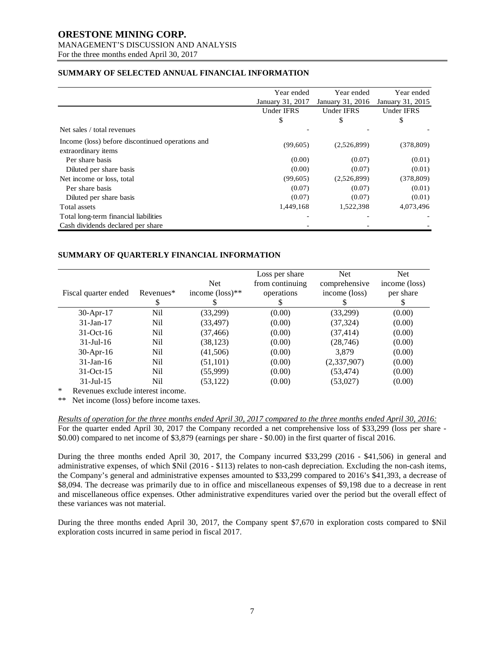# **ORESTONE MINING CORP.** MANAGEMENT'S DISCUSSION AND ANALYSIS

For the three months ended April 30, 2017

# **SUMMARY OF SELECTED ANNUAL FINANCIAL INFORMATION**

|                                                                         | Year ended        | Year ended       |            |
|-------------------------------------------------------------------------|-------------------|------------------|------------|
|                                                                         | January 31, 2017  | January 31, 2016 |            |
|                                                                         | <b>Under IFRS</b> | Under IFRS       | Under IFRS |
|                                                                         | \$                | \$               | \$         |
| Net sales / total revenues                                              |                   |                  |            |
| Income (loss) before discontinued operations and<br>extraordinary items | (99,605)          | (2,526,899)      | (378, 809) |
| Per share basis                                                         | (0.00)            | (0.07)           | (0.01)     |
| Diluted per share basis                                                 | (0.00)            | (0.07)           | (0.01)     |
| Net income or loss, total                                               | (99,605)          | (2,526,899)      | (378, 809) |
| Per share basis                                                         | (0.07)            | (0.07)           | (0.01)     |
| Diluted per share basis                                                 | (0.07)            | (0.07)           | (0.01)     |
| Total assets                                                            | 1,449,168         | 1,522,398        | 4,073,496  |
| Total long-term financial liabilities                                   |                   |                  |            |
| Cash dividends declared per share                                       |                   |                  |            |

# **SUMMARY OF QUARTERLY FINANCIAL INFORMATION**

| Fiscal quarter ended | Revenues*<br>S | <b>Net</b><br>income $(\text{loss})^{**}$ | Loss per share<br>from continuing<br>operations | <b>Net</b><br>comprehensive<br>income (loss) | <b>Net</b><br>income (loss)<br>per share<br>S |
|----------------------|----------------|-------------------------------------------|-------------------------------------------------|----------------------------------------------|-----------------------------------------------|
| $30-Apr-17$          | Nil            | (33,299)                                  | (0.00)                                          | (33,299)                                     | (0.00)                                        |
| $31$ -Jan-17         | Nil            | (33, 497)                                 | (0.00)                                          | (37, 324)                                    | (0.00)                                        |
| $31-Oct-16$          | Nil            | (37, 466)                                 | (0.00)                                          | (37, 414)                                    | (0.00)                                        |
| $31 -$ Jul $-16$     | Nil            | (38, 123)                                 | (0.00)                                          | (28, 746)                                    | (0.00)                                        |
| $30$ -Apr-16         | Nil            | (41,506)                                  | (0.00)                                          | 3,879                                        | (0.00)                                        |
| $31$ -Jan-16         | Nil            | (51, 101)                                 | (0.00)                                          | (2,337,907)                                  | (0.00)                                        |
| $31-Oct-15$          | Nil            | (55,999)                                  | (0.00)                                          | (53, 474)                                    | (0.00)                                        |
| $31 -$ Jul $-15$     | Nil            | (53, 122)                                 | (0.00)                                          | (53,027)                                     | (0.00)                                        |

Revenues exclude interest income.

\*\* Net income (loss) before income taxes.

*Results of operation for the three months ended April 30, 2017 compared to the three months ended April 30, 2016:* For the quarter ended April 30, 2017 the Company recorded a net comprehensive loss of \$33,299 (loss per share - \$0.00) compared to net income of \$3,879 (earnings per share - \$0.00) in the first quarter of fiscal 2016.

During the three months ended April 30, 2017, the Company incurred \$33,299 (2016 - \$41,506) in general and administrative expenses, of which \$Nil (2016 - \$113) relates to non-cash depreciation. Excluding the non-cash items, the Company's general and administrative expenses amounted to \$33,299 compared to 2016's \$41,393, a decrease of \$8,094. The decrease was primarily due to in office and miscellaneous expenses of \$9,198 due to a decrease in rent and miscellaneous office expenses. Other administrative expenditures varied over the period but the overall effect of these variances was not material.

During the three months ended April 30, 2017, the Company spent \$7,670 in exploration costs compared to \$Nil exploration costs incurred in same period in fiscal 2017.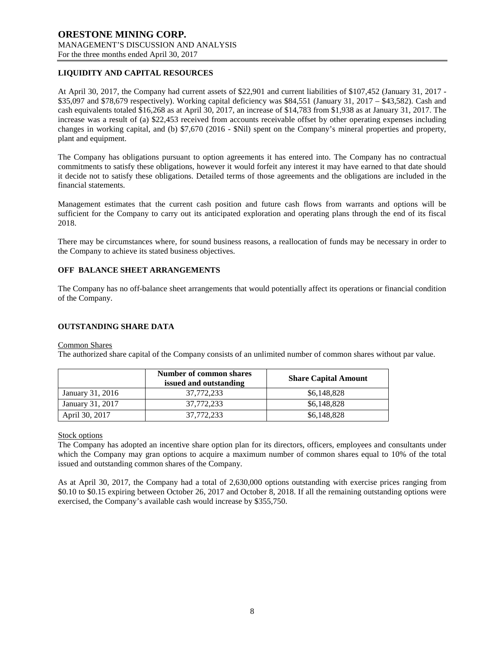# **LIQUIDITY AND CAPITAL RESOURCES**

At April 30, 2017, the Company had current assets of \$22,901 and current liabilities of \$107,452 (January 31, 2017 - \$35,097 and \$78,679 respectively). Working capital deficiency was \$84,551 (January 31, 2017 – \$43,582). Cash and cash equivalents totaled \$16,268 as at April 30, 2017, an increase of \$14,783 from \$1,938 as at January 31, 2017. The increase was a result of (a) \$22,453 received from accounts receivable offset by other operating expenses including changes in working capital, and (b) \$7,670 (2016 - \$Nil) spent on the Company's mineral properties and property, plant and equipment.

The Company has obligations pursuant to option agreements it has entered into. The Company has no contractual commitments to satisfy these obligations, however it would forfeit any interest it may have earned to that date should it decide not to satisfy these obligations. Detailed terms of those agreements and the obligations are included in the financial statements.

Management estimates that the current cash position and future cash flows from warrants and options will be sufficient for the Company to carry out its anticipated exploration and operating plans through the end of its fiscal 2018.

There may be circumstances where, for sound business reasons, a reallocation of funds may be necessary in order to the Company to achieve its stated business objectives.

# **OFF BALANCE SHEET ARRANGEMENTS**

The Company has no off-balance sheet arrangements that would potentially affect its operations or financial condition of the Company.

### **OUTSTANDING SHARE DATA**

#### Common Shares

The authorized share capital of the Company consists of an unlimited number of common shares without par value.

|                  | <b>Number of common shares</b><br>issued and outstanding | <b>Share Capital Amount</b> |
|------------------|----------------------------------------------------------|-----------------------------|
| January 31, 2016 | 37.772.233                                               | \$6,148,828                 |
| January 31, 2017 | 37.772.233                                               | \$6,148,828                 |
| April 30, 2017   | 37,772,233                                               | \$6,148,828                 |

### Stock options

The Company has adopted an incentive share option plan for its directors, officers, employees and consultants under which the Company may gran options to acquire a maximum number of common shares equal to 10% of the total issued and outstanding common shares of the Company.

As at April 30, 2017, the Company had a total of 2,630,000 options outstanding with exercise prices ranging from \$0.10 to \$0.15 expiring between October 26, 2017 and October 8, 2018. If all the remaining outstanding options were exercised, the Company's available cash would increase by \$355,750.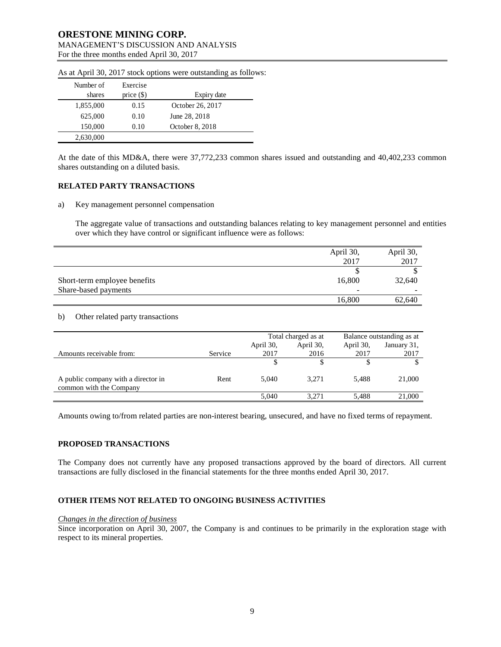| Number of<br>shares | Exercise<br>price $(\$)$ | Expiry date      |
|---------------------|--------------------------|------------------|
| 1,855,000           | 0.15                     | October 26, 2017 |
| 625,000             | 0.10                     | June 28, 2018    |
| 150,000             | 0.10                     | October 8, 2018  |
| 2,630,000           |                          |                  |

As at April 30, 2017 stock options were outstanding as follows:

At the date of this MD&A, there were 37,772,233 common shares issued and outstanding and 40,402,233 common shares outstanding on a diluted basis.

### **RELATED PARTY TRANSACTIONS**

a) Key management personnel compensation

The aggregate value of transactions and outstanding balances relating to key management personnel and entities over which they have control or significant influence were as follows:

|                              | April 30,                | April 30, |
|------------------------------|--------------------------|-----------|
|                              | 2017                     | 2017      |
|                              |                          |           |
| Short-term employee benefits | 16,800                   | 32,640    |
| Share-based payments         | $\overline{\phantom{0}}$ | -         |
|                              | 16,800                   | 62,640    |

#### b) Other related party transactions

|                                                                |         | Total charged as at |           | Balance outstanding as at |             |
|----------------------------------------------------------------|---------|---------------------|-----------|---------------------------|-------------|
|                                                                |         | April 30,           | April 30, | April 30,                 | January 31, |
| Amounts receivable from:                                       | Service | 2017                | 2016      | 2017                      | 2017        |
|                                                                |         |                     |           |                           |             |
| A public company with a director in<br>common with the Company | Rent    | 5.040               | 3.271     | 5.488                     | 21,000      |
|                                                                |         | 5.040               | 3.271     | 5.488                     | 21,000      |

Amounts owing to/from related parties are non-interest bearing, unsecured, and have no fixed terms of repayment.

### **PROPOSED TRANSACTIONS**

The Company does not currently have any proposed transactions approved by the board of directors. All current transactions are fully disclosed in the financial statements for the three months ended April 30, 2017.

# **OTHER ITEMS NOT RELATED TO ONGOING BUSINESS ACTIVITIES**

#### *Changes in the direction of business*

Since incorporation on April 30, 2007, the Company is and continues to be primarily in the exploration stage with respect to its mineral properties.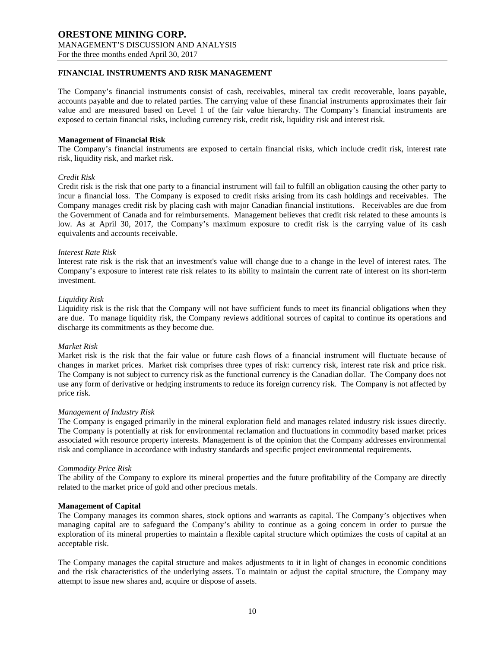### **FINANCIAL INSTRUMENTS AND RISK MANAGEMENT**

The Company's financial instruments consist of cash, receivables, mineral tax credit recoverable, loans payable, accounts payable and due to related parties. The carrying value of these financial instruments approximates their fair value and are measured based on Level 1 of the fair value hierarchy. The Company's financial instruments are exposed to certain financial risks, including currency risk, credit risk, liquidity risk and interest risk.

#### **Management of Financial Risk**

The Company's financial instruments are exposed to certain financial risks, which include credit risk, interest rate risk, liquidity risk, and market risk.

#### *Credit Risk*

Credit risk is the risk that one party to a financial instrument will fail to fulfill an obligation causing the other party to incur a financial loss. The Company is exposed to credit risks arising from its cash holdings and receivables. The Company manages credit risk by placing cash with major Canadian financial institutions. Receivables are due from the Government of Canada and for reimbursements. Management believes that credit risk related to these amounts is low. As at April 30, 2017, the Company's maximum exposure to credit risk is the carrying value of its cash equivalents and accounts receivable.

#### *Interest Rate Risk*

Interest rate risk is the risk that an investment's value will change due to a change in the level of interest rates. The Company's exposure to interest rate risk relates to its ability to maintain the current rate of interest on its short-term investment.

#### *Liquidity Risk*

Liquidity risk is the risk that the Company will not have sufficient funds to meet its financial obligations when they are due. To manage liquidity risk, the Company reviews additional sources of capital to continue its operations and discharge its commitments as they become due.

#### *Market Risk*

Market risk is the risk that the fair value or future cash flows of a financial instrument will fluctuate because of changes in market prices. Market risk comprises three types of risk: currency risk, interest rate risk and price risk. The Company is not subject to currency risk as the functional currency is the Canadian dollar. The Company does not use any form of derivative or hedging instruments to reduce its foreign currency risk. The Company is not affected by price risk.

#### *Management of Industry Risk*

The Company is engaged primarily in the mineral exploration field and manages related industry risk issues directly. The Company is potentially at risk for environmental reclamation and fluctuations in commodity based market prices associated with resource property interests. Management is of the opinion that the Company addresses environmental risk and compliance in accordance with industry standards and specific project environmental requirements.

#### *Commodity Price Risk*

The ability of the Company to explore its mineral properties and the future profitability of the Company are directly related to the market price of gold and other precious metals.

#### **Management of Capital**

The Company manages its common shares, stock options and warrants as capital. The Company's objectives when managing capital are to safeguard the Company's ability to continue as a going concern in order to pursue the exploration of its mineral properties to maintain a flexible capital structure which optimizes the costs of capital at an acceptable risk.

The Company manages the capital structure and makes adjustments to it in light of changes in economic conditions and the risk characteristics of the underlying assets. To maintain or adjust the capital structure, the Company may attempt to issue new shares and, acquire or dispose of assets.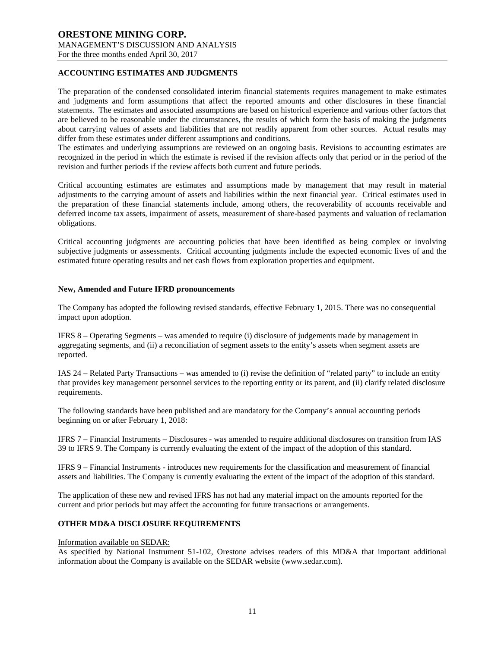### **ACCOUNTING ESTIMATES AND JUDGMENTS**

The preparation of the condensed consolidated interim financial statements requires management to make estimates and judgments and form assumptions that affect the reported amounts and other disclosures in these financial statements. The estimates and associated assumptions are based on historical experience and various other factors that are believed to be reasonable under the circumstances, the results of which form the basis of making the judgments about carrying values of assets and liabilities that are not readily apparent from other sources. Actual results may differ from these estimates under different assumptions and conditions.

The estimates and underlying assumptions are reviewed on an ongoing basis. Revisions to accounting estimates are recognized in the period in which the estimate is revised if the revision affects only that period or in the period of the revision and further periods if the review affects both current and future periods.

Critical accounting estimates are estimates and assumptions made by management that may result in material adjustments to the carrying amount of assets and liabilities within the next financial year. Critical estimates used in the preparation of these financial statements include, among others, the recoverability of accounts receivable and deferred income tax assets, impairment of assets, measurement of share-based payments and valuation of reclamation obligations.

Critical accounting judgments are accounting policies that have been identified as being complex or involving subjective judgments or assessments. Critical accounting judgments include the expected economic lives of and the estimated future operating results and net cash flows from exploration properties and equipment.

#### **New, Amended and Future IFRD pronouncements**

The Company has adopted the following revised standards, effective February 1, 2015. There was no consequential impact upon adoption.

IFRS 8 – Operating Segments – was amended to require (i) disclosure of judgements made by management in aggregating segments, and (ii) a reconciliation of segment assets to the entity's assets when segment assets are reported.

IAS 24 – Related Party Transactions – was amended to (i) revise the definition of "related party" to include an entity that provides key management personnel services to the reporting entity or its parent, and (ii) clarify related disclosure requirements.

The following standards have been published and are mandatory for the Company's annual accounting periods beginning on or after February 1, 2018:

IFRS 7 – Financial Instruments – Disclosures - was amended to require additional disclosures on transition from IAS 39 to IFRS 9. The Company is currently evaluating the extent of the impact of the adoption of this standard.

IFRS 9 – Financial Instruments - introduces new requirements for the classification and measurement of financial assets and liabilities. The Company is currently evaluating the extent of the impact of the adoption of this standard.

The application of these new and revised IFRS has not had any material impact on the amounts reported for the current and prior periods but may affect the accounting for future transactions or arrangements.

# **OTHER MD&A DISCLOSURE REQUIREMENTS**

#### Information available on SEDAR:

As specified by National Instrument 51-102, Orestone advises readers of this MD&A that important additional information about the Company is available on the SEDAR website (www.sedar.com).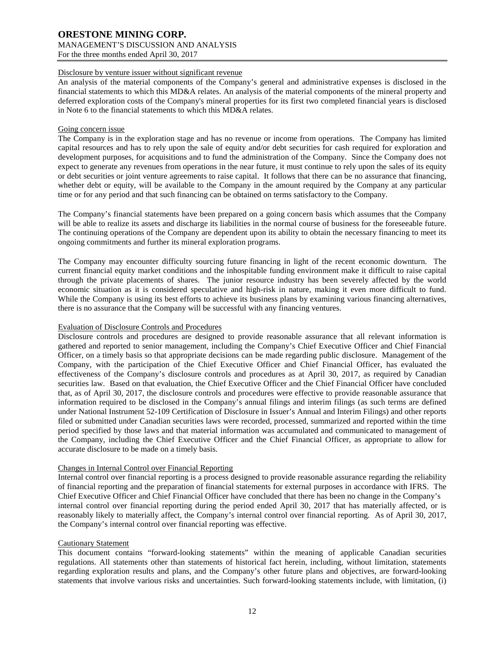### Disclosure by venture issuer without significant revenue

An analysis of the material components of the Company's general and administrative expenses is disclosed in the financial statements to which this MD&A relates. An analysis of the material components of the mineral property and deferred exploration costs of the Company's mineral properties for its first two completed financial years is disclosed in Note 6 to the financial statements to which this MD&A relates.

### Going concern issue

The Company is in the exploration stage and has no revenue or income from operations. The Company has limited capital resources and has to rely upon the sale of equity and/or debt securities for cash required for exploration and development purposes, for acquisitions and to fund the administration of the Company. Since the Company does not expect to generate any revenues from operations in the near future, it must continue to rely upon the sales of its equity or debt securities or joint venture agreements to raise capital. It follows that there can be no assurance that financing, whether debt or equity, will be available to the Company in the amount required by the Company at any particular time or for any period and that such financing can be obtained on terms satisfactory to the Company.

The Company's financial statements have been prepared on a going concern basis which assumes that the Company will be able to realize its assets and discharge its liabilities in the normal course of business for the foreseeable future. The continuing operations of the Company are dependent upon its ability to obtain the necessary financing to meet its ongoing commitments and further its mineral exploration programs.

The Company may encounter difficulty sourcing future financing in light of the recent economic downturn. The current financial equity market conditions and the inhospitable funding environment make it difficult to raise capital through the private placements of shares. The junior resource industry has been severely affected by the world economic situation as it is considered speculative and high-risk in nature, making it even more difficult to fund. While the Company is using its best efforts to achieve its business plans by examining various financing alternatives, there is no assurance that the Company will be successful with any financing ventures.

### Evaluation of Disclosure Controls and Procedures

Disclosure controls and procedures are designed to provide reasonable assurance that all relevant information is gathered and reported to senior management, including the Company's Chief Executive Officer and Chief Financial Officer, on a timely basis so that appropriate decisions can be made regarding public disclosure. Management of the Company, with the participation of the Chief Executive Officer and Chief Financial Officer, has evaluated the effectiveness of the Company's disclosure controls and procedures as at April 30, 2017, as required by Canadian securities law. Based on that evaluation, the Chief Executive Officer and the Chief Financial Officer have concluded that, as of April 30, 2017, the disclosure controls and procedures were effective to provide reasonable assurance that information required to be disclosed in the Company's annual filings and interim filings (as such terms are defined under National Instrument 52-109 Certification of Disclosure in Issuer's Annual and Interim Filings) and other reports filed or submitted under Canadian securities laws were recorded, processed, summarized and reported within the time period specified by those laws and that material information was accumulated and communicated to management of the Company, including the Chief Executive Officer and the Chief Financial Officer, as appropriate to allow for accurate disclosure to be made on a timely basis.

# Changes in Internal Control over Financial Reporting

Internal control over financial reporting is a process designed to provide reasonable assurance regarding the reliability of financial reporting and the preparation of financial statements for external purposes in accordance with IFRS. The Chief Executive Officer and Chief Financial Officer have concluded that there has been no change in the Company's internal control over financial reporting during the period ended April 30, 2017 that has materially affected, or is reasonably likely to materially affect, the Company's internal control over financial reporting. As of April 30, 2017, the Company's internal control over financial reporting was effective.

#### Cautionary Statement

This document contains "forward-looking statements" within the meaning of applicable Canadian securities regulations. All statements other than statements of historical fact herein, including, without limitation, statements regarding exploration results and plans, and the Company's other future plans and objectives, are forward-looking statements that involve various risks and uncertainties. Such forward-looking statements include, with limitation, (i)